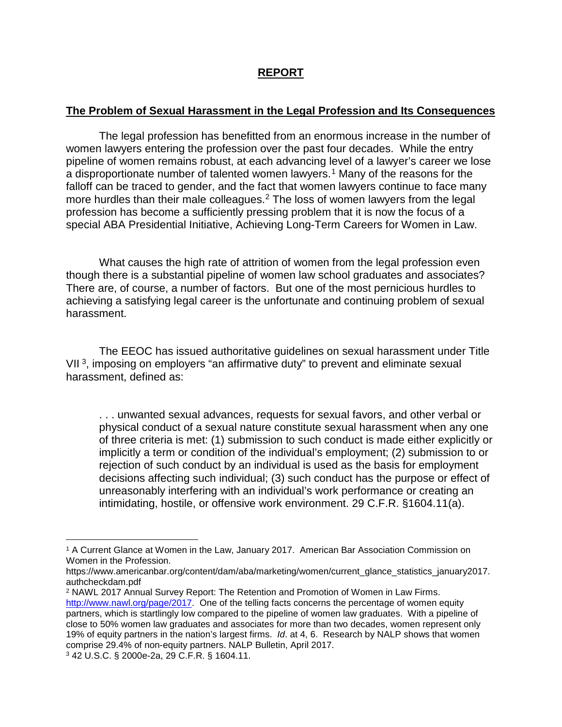## **REPORT**

## **The Problem of Sexual Harassment in the Legal Profession and Its Consequences**

The legal profession has benefitted from an enormous increase in the number of women lawyers entering the profession over the past four decades. While the entry pipeline of women remains robust, at each advancing level of a lawyer's career we lose a disproportionate number of talented women lawyers.<sup>[1](#page-0-0)</sup> Many of the reasons for the falloff can be traced to gender, and the fact that women lawyers continue to face many more hurdles than their male colleagues.[2](#page-0-1) The loss of women lawyers from the legal profession has become a sufficiently pressing problem that it is now the focus of a special ABA Presidential Initiative, Achieving Long-Term Careers for Women in Law.

What causes the high rate of attrition of women from the legal profession even though there is a substantial pipeline of women law school graduates and associates? There are, of course, a number of factors. But one of the most pernicious hurdles to achieving a satisfying legal career is the unfortunate and continuing problem of sexual harassment.

The EEOC has issued authoritative guidelines on sexual harassment under Title VII [3,](#page-0-2) imposing on employers "an affirmative duty" to prevent and eliminate sexual harassment, defined as:

. . . unwanted sexual advances, requests for sexual favors, and other verbal or physical conduct of a sexual nature constitute sexual harassment when any one of three criteria is met: (1) submission to such conduct is made either explicitly or implicitly a term or condition of the individual's employment; (2) submission to or rejection of such conduct by an individual is used as the basis for employment decisions affecting such individual; (3) such conduct has the purpose or effect of unreasonably interfering with an individual's work performance or creating an intimidating, hostile, or offensive work environment. 29 C.F.R. §1604.11(a).

<span id="page-0-0"></span> $\overline{a}$ <sup>1</sup> A Current Glance at Women in the Law, January 2017. American Bar Association Commission on Women in the Profession.

https://www.americanbar.org/content/dam/aba/marketing/women/current\_glance\_statistics\_january2017. authcheckdam.pdf

<span id="page-0-1"></span><sup>2</sup> NAWL 2017 Annual Survey Report: The Retention and Promotion of Women in Law Firms. [http://www.nawl.org/page/2017.](http://www.nawl.org/page/2017) One of the telling facts concerns the percentage of women equity partners, which is startlingly low compared to the pipeline of women law graduates. With a pipeline of close to 50% women law graduates and associates for more than two decades, women represent only 19% of equity partners in the nation's largest firms. *Id*. at 4, 6. Research by NALP shows that women comprise 29.4% of non-equity partners. NALP Bulletin, April 2017.

<span id="page-0-2"></span><sup>3</sup> 42 U.S.C. § 2000e-2a, 29 C.F.R. § 1604.11.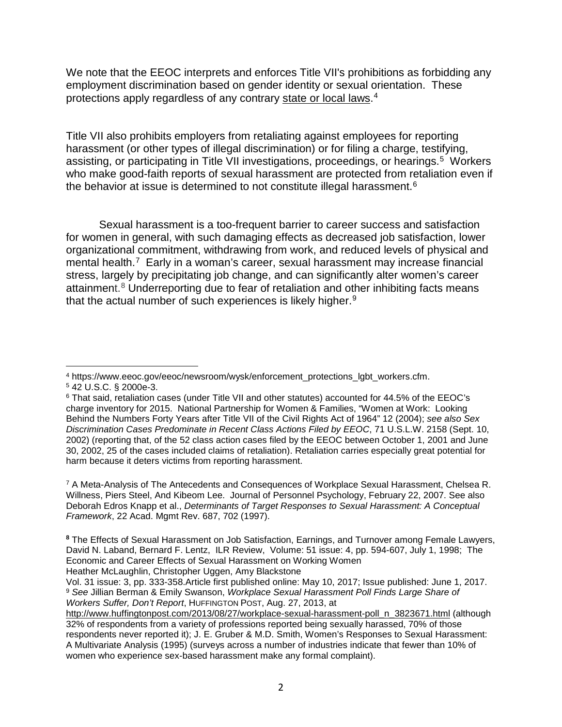We note that the EEOC interprets and enforces Title VII's prohibitions as forbidding any employment discrimination based on gender identity or sexual orientation. These protections apply regardless of any contrary [state or local laws.](https://www.eeoc.gov/eeoc/newsroom/wysk/enforcement_protections_lgbt_workers.cfm#other)<sup>[4](#page-1-0)</sup>

Title VII also prohibits employers from retaliating against employees for reporting harassment (or other types of illegal discrimination) or for filing a charge, testifying, assisting, or participating in Title VII investigations, proceedings, or hearings.<sup>5</sup> Workers who make good-faith reports of sexual harassment are protected from retaliation even if the behavior at issue is determined to not constitute illegal harassment.<sup>[6](#page-1-2)</sup>

Sexual harassment is a too-frequent barrier to career success and satisfaction for women in general, with such damaging effects as decreased job satisfaction, lower organizational commitment, withdrawing from work, and reduced levels of physical and mental health.[7](#page-1-3) Early in a woman's career, sexual harassment may increase financial stress, largely by precipitating job change, and can significantly alter women's career attainment.<sup>[8](#page-1-4)</sup> Underreporting due to fear of retaliation and other inhibiting facts means that the actual number of such experiences is likely higher.<sup>[9](#page-1-5)</sup>

<span id="page-1-3"></span><sup>7</sup> A Meta-Analysis of The Antecedents and Consequences of Workplace Sexual Harassment, Chelsea R. Willness, Piers Steel, And Kibeom Lee. Journal of Personnel Psychology, February 22, 2007. See also Deborah Edros Knapp et al., *Determinants of Target Responses to Sexual Harassment: A Conceptual Framework*, 22 Acad. Mgmt Rev. 687, 702 (1997).

 $\overline{a}$ <sup>4</sup> https://www.eeoc.gov/eeoc/newsroom/wysk/enforcement\_protections\_lgbt\_workers.cfm.

<span id="page-1-1"></span><span id="page-1-0"></span><sup>5</sup> 42 U.S.C. § 2000e-3.

<span id="page-1-2"></span><sup>6</sup> That said, retaliation cases (under Title VII and other statutes) accounted for 44.5% of the EEOC's charge inventory for 2015. National Partnership for Women & Families, "Women at Work: Looking Behind the Numbers Forty Years after Title VII of the Civil Rights Act of 1964" 12 (2004); *see also Sex Discrimination Cases Predominate in Recent Class Actions Filed by EEOC*, 71 U.S.L.W. 2158 (Sept. 10, 2002) (reporting that, of the 52 class action cases filed by the EEOC between October 1, 2001 and June 30, 2002, 25 of the cases included claims of retaliation). Retaliation carries especially great potential for harm because it deters victims from reporting harassment.

<span id="page-1-4"></span>**<sup>8</sup>** The Effects of Sexual Harassment on Job Satisfaction, Earnings, and Turnover among Female Lawyers, [David N. Laband,](http://journals.sagepub.com/author/Laband%2C+David+N) [Bernard F. Lentz,](http://journals.sagepub.com/author/Lentz%2C+Bernard+F) ILR Review, Volume: 51 issue: 4, pp. 594-607, July 1, 1998; The Economic and Career Effects of Sexual Harassment on Working Women [Heather McLaughlin,](http://journals.sagepub.com/author/McLaughlin%2C+Heather) [Christopher Uggen,](http://journals.sagepub.com/author/Uggen%2C+Christopher) [Amy Blackstone](http://journals.sagepub.com/author/Blackstone%2C+Amy)

<span id="page-1-5"></span>Vol. 31 issue: 3, pp. 333-358.Article first published online: May 10, 2017; Issue published: June 1, 2017. <sup>9</sup> *See* Jillian Berman & Emily Swanson, *Workplace Sexual Harassment Poll Finds Large Share of Workers Suffer, Don't Report*, HUFFINGTON POST, Aug. 27, 2013, at

[http://www.huffingtonpost.com/2013/08/27/workplace-sexual-harassment-poll\\_n\\_3823671.html](http://www.huffingtonpost.com/2013/08/27/workplace-sexual-harassment-poll_n_3823671.html) (although 32% of respondents from a variety of professions reported being sexually harassed, 70% of those respondents never reported it); J. E. Gruber & M.D. Smith, Women's Responses to Sexual Harassment: A Multivariate Analysis (1995) (surveys across a number of industries indicate that fewer than 10% of women who experience sex-based harassment make any formal complaint).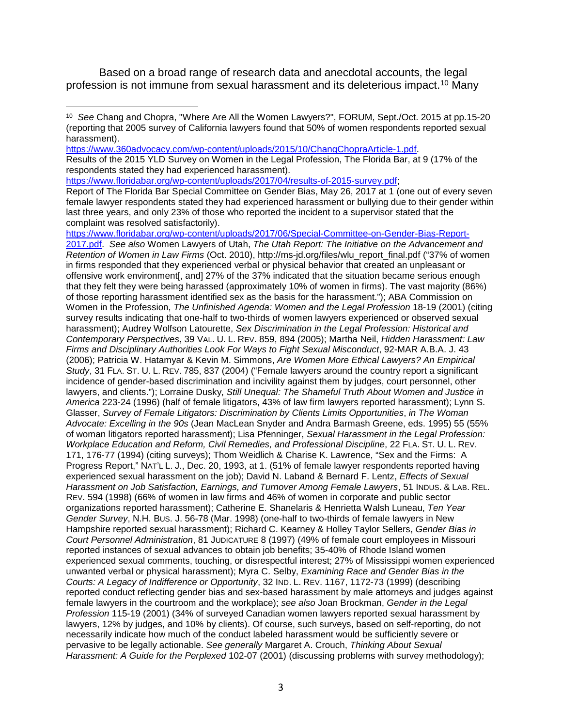Based on a broad range of research data and anecdotal accounts, the legal profession is not immune from sexual harassment and its deleterious impact.<sup>[10](#page-2-0)</sup> Many

[https://www.360advocacy.com/wp-content/uploads/2015/10/ChangChopraArticle-1.pdf.](https://www.360advocacy.com/wp-content/uploads/2015/10/ChangChopraArticle-1.pdf)

Results of the 2015 YLD Survey on Women in the Legal Profession, The Florida Bar, at 9 (17% of the respondents stated they had experienced harassment).

[https://www.floridabar.org/wp-content/uploads/2017/04/results-of-2015-survey.pdf;](https://www.floridabar.org/wp-content/uploads/2017/04/results-of-2015-survey.pdf)

 $\overline{a}$ 

Report of The Florida Bar Special Committee on Gender Bias, May 26, 2017 at 1 (one out of every seven female lawyer respondents stated they had experienced harassment or bullying due to their gender within last three years, and only 23% of those who reported the incident to a supervisor stated that the complaint was resolved satisfactorily).

[https://www.floridabar.org/wp-content/uploads/2017/06/Special-Committee-on-Gender-Bias-Report-](https://www.floridabar.org/wp-content/uploads/2017/06/Special-Committee-on-Gender-Bias-Report-2017.pdf)[2017.pdf.](https://www.floridabar.org/wp-content/uploads/2017/06/Special-Committee-on-Gender-Bias-Report-2017.pdf) *See also* Women Lawyers of Utah, *The Utah Report: The Initiative on the Advancement and Retention of Women in Law Firms* (Oct. 2010), [http://ms-jd.org/files/wlu\\_report\\_final.pdf](http://ms-jd.org/files/wlu_report_final.pdf) ("37% of women in firms responded that they experienced verbal or physical behavior that created an unpleasant or offensive work environment[, and] 27% of the 37% indicated that the situation became serious enough that they felt they were being harassed (approximately 10% of women in firms). The vast majority (86%) of those reporting harassment identified sex as the basis for the harassment."); ABA Commission on Women in the Profession, *The Unfinished Agenda: Women and the Legal Profession* 18-19 (2001) (citing survey results indicating that one-half to two-thirds of women lawyers experienced or observed sexual harassment); Audrey Wolfson Latourette, *Sex Discrimination in the Legal Profession: Historical and Contemporary Perspectives*, 39 VAL. U. L. REV. 859, 894 (2005); Martha Neil, *Hidden Harassment: Law Firms and Disciplinary Authorities Look For Ways to Fight Sexual Misconduct*, 92-MAR A.B.A. J. 43 (2006); Patricia W. Hatamyar & Kevin M. Simmons, *Are Women More Ethical Lawyers? An Empirical Study*, 31 FLA. ST. U. L. REV. 785, 837 (2004) ("Female lawyers around the country report a significant incidence of gender-based discrimination and incivility against them by judges, court personnel, other lawyers, and clients."); Lorraine Dusky, *Still Unequal: The Shameful Truth About Women and Justice in America* 223-24 (1996) (half of female litigators, 43% of law firm lawyers reported harassment); Lynn S. Glasser, *Survey of Female Litigators: Discrimination by Clients Limits Opportunities*, *in The Woman Advocate: Excelling in the 90s* (Jean MacLean Snyder and Andra Barmash Greene, eds. 1995) 55 (55% of woman litigators reported harassment); Lisa Pfenninger, *Sexual Harassment in the Legal Profession: Workplace Education and Reform, Civil Remedies, and Professional Discipline*, 22 FLA. ST. U. L. REV. 171, 176-77 (1994) (citing surveys); Thom Weidlich & Charise K. Lawrence, "Sex and the Firms: A Progress Report," NAT'L L. J., Dec. 20, 1993, at 1. (51% of female lawyer respondents reported having experienced sexual harassment on the job); David N. Laband & Bernard F. Lentz, *Effects of Sexual Harassment on Job Satisfaction, Earnings, and Turnover Among Female Lawyers*, 51 INDUS. & LAB. REL. REV. 594 (1998) (66% of women in law firms and 46% of women in corporate and public sector organizations reported harassment); Catherine E. Shanelaris & Henrietta Walsh Luneau, *Ten Year Gender Survey*, N.H. BUS. J. 56-78 (Mar. 1998) (one-half to two-thirds of female lawyers in New Hampshire reported sexual harassment); Richard C. Kearney & Holley Taylor Sellers, *Gender Bias in Court Personnel Administration*, 81 JUDICATURE 8 (1997) (49% of female court employees in Missouri reported instances of sexual advances to obtain job benefits; 35-40% of Rhode Island women experienced sexual comments, touching, or disrespectful interest; 27% of Mississippi women experienced unwanted verbal or physical harassment); Myra C. Selby, *Examining Race and Gender Bias in the Courts: A Legacy of Indifference or Opportunity*, 32 IND. L. REV. 1167, 1172-73 (1999) (describing reported conduct reflecting gender bias and sex-based harassment by male attorneys and judges against female lawyers in the courtroom and the workplace); *see also* Joan Brockman, *Gender in the Legal Profession* 115-19 (2001) (34% of surveyed Canadian women lawyers reported sexual harassment by lawyers, 12% by judges, and 10% by clients). Of course, such surveys, based on self-reporting, do not necessarily indicate how much of the conduct labeled harassment would be sufficiently severe or pervasive to be legally actionable. *See generally* Margaret A. Crouch, *Thinking About Sexual Harassment: A Guide for the Perplexed* 102-07 (2001) (discussing problems with survey methodology);

<span id="page-2-0"></span><sup>10</sup> *See* Chang and Chopra, "Where Are All the Women Lawyers?", FORUM, Sept./Oct. 2015 at pp.15-20 (reporting that 2005 survey of California lawyers found that 50% of women respondents reported sexual harassment).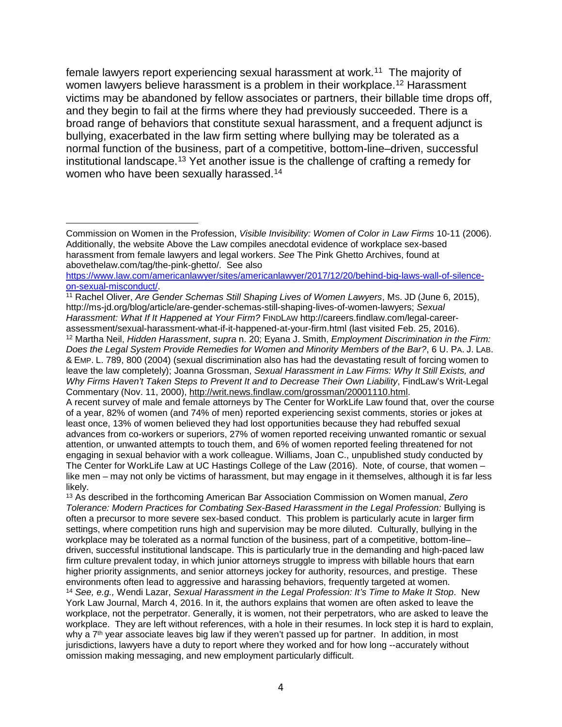female lawyers report experiencing sexual harassment at work.[11](#page-3-0) The majority of women lawyers believe harassment is a problem in their workplace.<sup>[12](#page-3-1)</sup> Harassment victims may be abandoned by fellow associates or partners, their billable time drops off, and they begin to fail at the firms where they had previously succeeded. There is a broad range of behaviors that constitute sexual harassment, and a frequent adjunct is bullying, exacerbated in the law firm setting where bullying may be tolerated as a normal function of the business, part of a competitive, bottom-line–driven, successful institutional landscape. [13](#page-3-2) Yet another issue is the challenge of crafting a remedy for women who have been sexually harassed.<sup>[14](#page-3-3)</sup>

 $\overline{a}$ 

<span id="page-3-1"></span><span id="page-3-0"></span><sup>11</sup> Rachel Oliver, *Are Gender Schemas Still Shaping Lives of Women Lawyers*, MS. JD (June 6, 2015), http://ms-jd.org/blog/article/are-gender-schemas-still-shaping-lives-of-women-lawyers; *Sexual Harassment: What If It Happened at Your Firm?* FINDLAW http://careers.findlaw.com/legal-careerassessment/sexual-harassment-what-if-it-happened-at-your-firm.html (last visited Feb. 25, 2016). <sup>12</sup> Martha Neil, *Hidden Harassment*, *supra* n. 20; Eyana J. Smith, *Employment Discrimination in the Firm: Does the Legal System Provide Remedies for Women and Minority Members of the Bar?*, 6 U. PA. J. LAB. & EMP. L. 789, 800 (2004) (sexual discrimination also has had the devastating result of forcing women to leave the law completely); Joanna Grossman, *Sexual Harassment in Law Firms: Why It Still Exists, and Why Firms Haven't Taken Steps to Prevent It and to Decrease Their Own Liability*, FindLaw's Writ-Legal Commentary (Nov. 11, 2000), [http://writ.news.findlaw.com/grossman/20001110.html.](http://writ.news.findlaw.com/grossman/20001110.html) A recent survey of male and female attorneys by The Center for WorkLife Law found that, over the course of a year, 82% of women (and 74% of men) reported experiencing sexist comments, stories or jokes at least once, 13% of women believed they had lost opportunities because they had rebuffed sexual advances from co-workers or superiors, 27% of women reported receiving unwanted romantic or sexual attention, or unwanted attempts to touch them, and 6% of women reported feeling threatened for not engaging in sexual behavior with a work colleague. Williams, Joan C., unpublished study conducted by The Center for WorkLife Law at UC Hastings College of the Law (2016). Note, of course, that women – like men – may not only be victims of harassment, but may engage in it themselves, although it is far less likely.

<span id="page-3-3"></span><span id="page-3-2"></span><sup>13</sup> As described in the forthcoming American Bar Association Commission on Women manual, *Zero Tolerance: Modern Practices for Combating Sex-Based Harassment in the Legal Profession:* Bullying is often a precursor to more severe sex-based conduct. This problem is particularly acute in larger firm settings, where competition runs high and supervision may be more diluted. Culturally, bullying in the workplace may be tolerated as a normal function of the business, part of a competitive, bottom-line– driven, successful institutional landscape. This is particularly true in the demanding and high-paced law firm culture prevalent today, in which junior attorneys struggle to impress with billable hours that earn higher priority assignments, and senior attorneys jockey for authority, resources, and prestige. These environments often lead to aggressive and harassing behaviors, frequently targeted at women. <sup>14</sup> *See, e.g.,* Wendi Lazar, *Sexual Harassment in the Legal Profession: It's Time to Make It Stop*. New York Law Journal, March 4, 2016. In it, the authors explains that women are often asked to leave the workplace, not the perpetrator. Generally, it is women, not their perpetrators, who are asked to leave the workplace. They are left without references, with a hole in their resumes. In lock step it is hard to explain, why a 7<sup>th</sup> year associate leaves big law if they weren't passed up for partner. In addition, in most jurisdictions, lawyers have a duty to report where they worked and for how long --accurately without omission making messaging, and new employment particularly difficult.

Commission on Women in the Profession, *Visible Invisibility: Women of Color in Law Firms* 10-11 (2006). Additionally, the website Above the Law compiles anecdotal evidence of workplace sex-based harassment from female lawyers and legal workers. *See* The Pink Ghetto Archives, found at abovethelaw.com/tag/the-pink-ghetto/. See also

[https://www.law.com/americanlawyer/sites/americanlawyer/2017/12/20/behind-big-laws-wall-of-silence](https://www.law.com/americanlawyer/sites/americanlawyer/2017/12/20/behind-big-laws-wall-of-silence-on-sexual-misconduct/)[on-sexual-misconduct/.](https://www.law.com/americanlawyer/sites/americanlawyer/2017/12/20/behind-big-laws-wall-of-silence-on-sexual-misconduct/)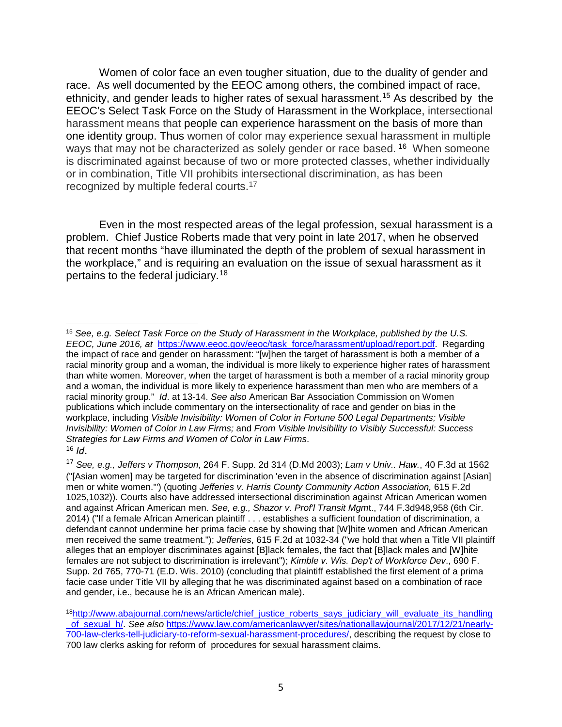Women of color face an even tougher situation, due to the duality of gender and race. As well documented by the EEOC among others, the combined impact of race, ethnicity, and gender leads to higher rates of sexual harassment. [15](#page-4-0) As described by the EEOC's Select Task Force on the Study of Harassment in the Workplace, intersectional harassment means that people can experience harassment on the basis of more than one identity group. Thus women of color may experience sexual harassment in multiple ways that may not be characterized as solely gender or race based. <sup>[16](#page-4-1)</sup> When someone is discriminated against because of two or more protected classes, whether individually or in combination, Title VII prohibits intersectional discrimination, as has been recognized by multiple federal courts.<sup>[17](#page-4-2)</sup>

Even in the most respected areas of the legal profession, sexual harassment is a problem. Chief Justice Roberts made that very point in late 2017, when he observed that recent months "have illuminated the depth of the problem of sexual harassment in the workplace," and is requiring an evaluation on the issue of sexual harassment as it pertains to the federal judiciary.[18](#page-4-3)

<span id="page-4-0"></span> $\overline{a}$ <sup>15</sup> *See, e.g. Select Task Force on the Study of Harassment in the Workplace, published by the U.S. EEOC, June 2016, at* [https://www.eeoc.gov/eeoc/task\\_force/harassment/upload/report.pdf.](https://www.eeoc.gov/eeoc/task_force/harassment/upload/report.pdf) Regarding the impact of race and gender on harassment: "[w]hen the target of harassment is both a member of a racial minority group and a woman, the individual is more likely to experience higher rates of harassment than white women. Moreover, when the target of harassment is both a member of a racial minority group and a woman, the individual is more likely to experience harassment than men who are members of a racial minority group." *Id*. at 13-14. *See also* American Bar Association Commission on Women publications which include commentary on the intersectionality of race and gender on bias in the workplace, including *Visible Invisibility: Women of Color in Fortune 500 Legal Departments; Visible Invisibility: Women of Color in Law Firms;* and *From Visible Invisibility to Visibly Successful: Success Strategies for Law Firms and Women of Color in Law Firms*. <sup>16</sup> *Id*.

<span id="page-4-2"></span><span id="page-4-1"></span><sup>17</sup> *See, e.g., Jeffers v Thompson*, 264 F. Supp. 2d 314 (D.Md 2003); *Lam v Univ.. Haw.*, 40 F.3d at 1562 ("[Asian women] may be targeted for discrimination 'even in the absence of discrimination against [Asian] men or white women.'") (quoting *Jefferies v. Harris County Community Action Association,* 615 F.2d 1025,1032)). Courts also have addressed intersectional discrimination against African American women and against African American men. *See, e.g., Shazor v. Prof'l Transit Mgm*t., 744 F.3d948,958 (6th Cir. 2014) ("If a female African American plaintiff . . . establishes a sufficient foundation of discrimination, a defendant cannot undermine her prima facie case by showing that [W]hite women and African American men received the same treatment."); *Jefferies*, 615 F.2d at 1032-34 ("we hold that when a Title VII plaintiff alleges that an employer discriminates against [B]lack females, the fact that [B]lack males and [W]hite females are not subject to discrimination is irrelevant"); *Kimble v. Wis. Dep't of Workforce Dev*., 690 F. Supp. 2d 765, 770-71 (E.D. Wis. 2010) (concluding that plaintiff established the first element of a prima facie case under Title VII by alleging that he was discriminated against based on a combination of race and gender, i.e., because he is an African American male).

<span id="page-4-3"></span><sup>&</sup>lt;sup>18</sup>http://www.abajournal.com/news/article/chief\_justice\_roberts\_says\_judiciary\_will\_evaluate\_its\_handling [\\_of\\_sexual\\_h/.](http://www.abajournal.com/news/article/chief_justice_roberts_says_judiciary_will_evaluate_its_handling_of_sexual_h/) *See also* [https://www.law.com/americanlawyer/sites/nationallawjournal/2017/12/21/nearly-](https://www.law.com/americanlawyer/sites/nationallawjournal/2017/12/21/nearly-700-law-clerks-tell-judiciary-to-reform-sexual-harassment-procedures/)[700-law-clerks-tell-judiciary-to-reform-sexual-harassment-procedures/,](https://www.law.com/americanlawyer/sites/nationallawjournal/2017/12/21/nearly-700-law-clerks-tell-judiciary-to-reform-sexual-harassment-procedures/) describing the request by close to 700 law clerks asking for reform of procedures for sexual harassment claims.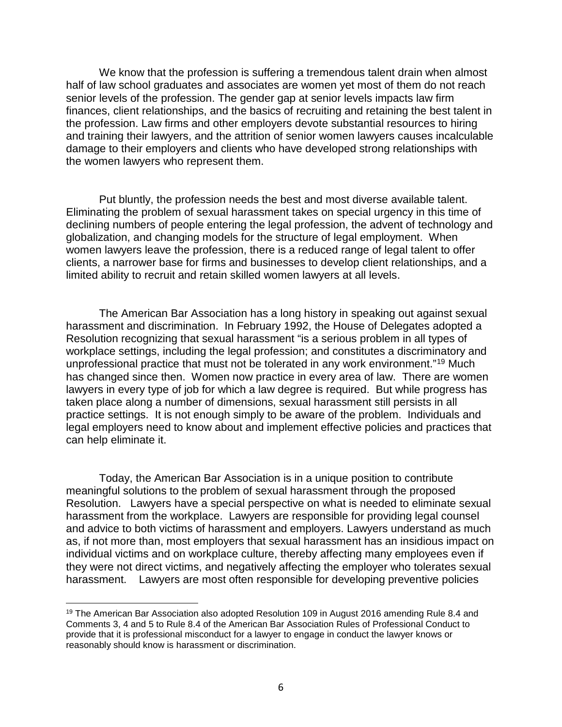We know that the profession is suffering a tremendous talent drain when almost half of law school graduates and associates are women yet most of them do not reach senior levels of the profession. The gender gap at senior levels impacts law firm finances, client relationships, and the basics of recruiting and retaining the best talent in the profession. Law firms and other employers devote substantial resources to hiring and training their lawyers, and the attrition of senior women lawyers causes incalculable damage to their employers and clients who have developed strong relationships with the women lawyers who represent them.

Put bluntly, the profession needs the best and most diverse available talent. Eliminating the problem of sexual harassment takes on special urgency in this time of declining numbers of people entering the legal profession, the advent of technology and globalization, and changing models for the structure of legal employment. When women lawyers leave the profession, there is a reduced range of legal talent to offer clients, a narrower base for firms and businesses to develop client relationships, and a limited ability to recruit and retain skilled women lawyers at all levels.

The American Bar Association has a long history in speaking out against sexual harassment and discrimination. In February 1992, the House of Delegates adopted a Resolution recognizing that sexual harassment "is a serious problem in all types of workplace settings, including the legal profession; and constitutes a discriminatory and unprofessional practice that must not be tolerated in any work environment."[19](#page-5-0) Much has changed since then. Women now practice in every area of law. There are women lawyers in every type of job for which a law degree is required. But while progress has taken place along a number of dimensions, sexual harassment still persists in all practice settings. It is not enough simply to be aware of the problem. Individuals and legal employers need to know about and implement effective policies and practices that can help eliminate it.

Today, the American Bar Association is in a unique position to contribute meaningful solutions to the problem of sexual harassment through the proposed Resolution. Lawyers have a special perspective on what is needed to eliminate sexual harassment from the workplace. Lawyers are responsible for providing legal counsel and advice to both victims of harassment and employers. Lawyers understand as much as, if not more than, most employers that sexual harassment has an insidious impact on individual victims and on workplace culture, thereby affecting many employees even if they were not direct victims, and negatively affecting the employer who tolerates sexual harassment. Lawyers are most often responsible for developing preventive policies

 $\overline{a}$ 

<span id="page-5-0"></span><sup>&</sup>lt;sup>19</sup> The American Bar Association also adopted Resolution 109 in August 2016 amending Rule 8.4 and Comments 3, 4 and 5 to Rule 8.4 of the American Bar Association Rules of Professional Conduct to provide that it is professional misconduct for a lawyer to engage in conduct the lawyer knows or reasonably should know is harassment or discrimination.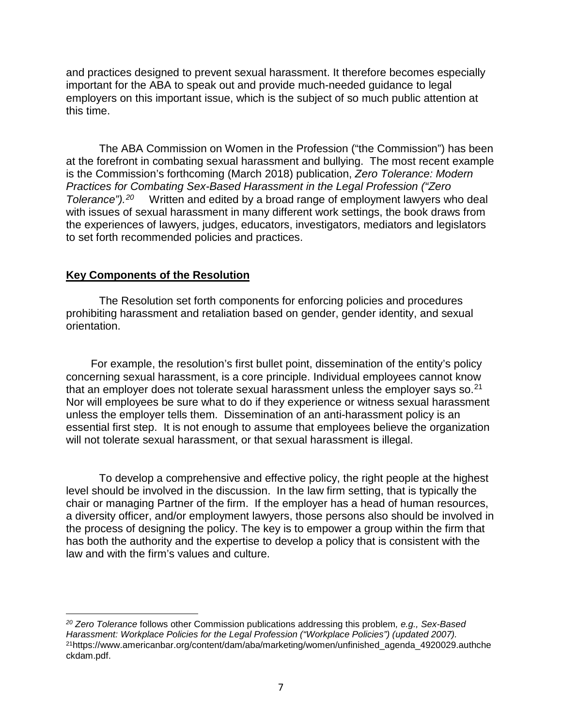and practices designed to prevent sexual harassment. It therefore becomes especially important for the ABA to speak out and provide much-needed guidance to legal employers on this important issue, which is the subject of so much public attention at this time.

The ABA Commission on Women in the Profession ("the Commission") has been at the forefront in combating sexual harassment and bullying. The most recent example is the Commission's forthcoming (March 2018) publication, *Zero Tolerance: Modern Practices for Combating Sex-Based Harassment in the Legal Profession ("Zero Tolerance").[20](#page-6-0)* Written and edited by a broad range of employment lawyers who deal with issues of sexual harassment in many different work settings, the book draws from the experiences of lawyers, judges, educators, investigators, mediators and legislators to set forth recommended policies and practices.

## **Key Components of the Resolution**

The Resolution set forth components for enforcing policies and procedures prohibiting harassment and retaliation based on gender, gender identity, and sexual orientation.

For example, the resolution's first bullet point, dissemination of the entity's policy concerning sexual harassment, is a core principle. Individual employees cannot know that an employer does not tolerate sexual harassment unless the employer says so. $^{21}$  $^{21}$  $^{21}$ Nor will employees be sure what to do if they experience or witness sexual harassment unless the employer tells them. Dissemination of an anti-harassment policy is an essential first step. It is not enough to assume that employees believe the organization will not tolerate sexual harassment, or that sexual harassment is illegal.

To develop a comprehensive and effective policy, the right people at the highest level should be involved in the discussion. In the law firm setting, that is typically the chair or managing Partner of the firm. If the employer has a head of human resources, a diversity officer, and/or employment lawyers, those persons also should be involved in the process of designing the policy. The key is to empower a group within the firm that has both the authority and the expertise to develop a policy that is consistent with the law and with the firm's values and culture.

<span id="page-6-1"></span><span id="page-6-0"></span> $\overline{a}$ *<sup>20</sup> Zero Tolerance* follows other Commission publications addressing this problem*, e.g., Sex-Based Harassment: Workplace Policies for the Legal Profession ("Workplace Policies") (updated 2007).*  21https://www.americanbar.org/content/dam/aba/marketing/women/unfinished\_agenda\_4920029.authche ckdam.pdf.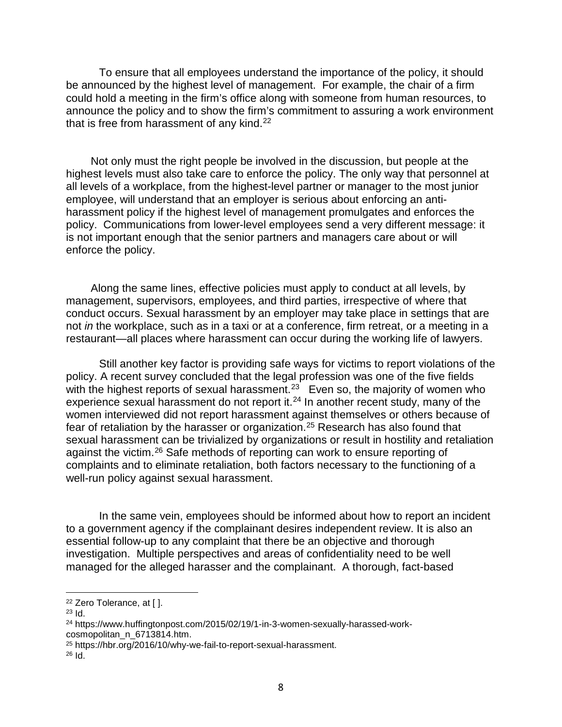To ensure that all employees understand the importance of the policy, it should be announced by the highest level of management. For example, the chair of a firm could hold a meeting in the firm's office along with someone from human resources, to announce the policy and to show the firm's commitment to assuring a work environment that is free from harassment of any kind. $22$ 

Not only must the right people be involved in the discussion, but people at the highest levels must also take care to enforce the policy. The only way that personnel at all levels of a workplace, from the highest-level partner or manager to the most junior employee, will understand that an employer is serious about enforcing an antiharassment policy if the highest level of management promulgates and enforces the policy. Communications from lower-level employees send a very different message: it is not important enough that the senior partners and managers care about or will enforce the policy.

Along the same lines, effective policies must apply to conduct at all levels, by management, supervisors, employees, and third parties, irrespective of where that conduct occurs. Sexual harassment by an employer may take place in settings that are not *in* the workplace, such as in a taxi or at a conference, firm retreat, or a meeting in a restaurant—all places where harassment can occur during the working life of lawyers.

Still another key factor is providing safe ways for victims to report violations of the policy. A recent survey concluded that the legal profession was one of the five fields with the highest reports of sexual harassment.<sup>[23](#page-7-1)</sup> Even so, the majority of women who experience sexual harassment do not report it.<sup>[24](#page-7-2)</sup> In another recent study, many of the women interviewed did not report harassment against themselves or others because of fear of retaliation by the harasser or organization.[25](#page-7-3) Research has also found that sexual harassment can be [trivialized](http://www.ncbi.nlm.nih.gov/pubmed/12002952) by organizations or result in hostility and [retaliation](https://www.researchgate.net/profile/Mindy_Bergman/publication/11367968_The_(un)reasonableness_of_reporting_Antecedents_and_consequences_of_reporting_sexual_harassment/links/0a85e538e14e0bc7dc000000.pdf) against the victim.[26](#page-7-4) Safe methods of reporting can work to ensure reporting of complaints and to eliminate retaliation, both factors necessary to the functioning of a well-run policy against sexual harassment.

In the same vein, employees should be informed about how to report an incident to a government agency if the complainant desires independent review. It is also an essential follow-up to any complaint that there be an objective and thorough investigation. Multiple perspectives and areas of confidentiality need to be well managed for the alleged harasser and the complainant. A thorough, fact-based

 $\overline{a}$ 

<span id="page-7-0"></span><sup>22</sup> Zero Tolerance, at [ ].

<span id="page-7-1"></span><sup>23</sup> Id.

<span id="page-7-2"></span><sup>24</sup> https://www.huffingtonpost.com/2015/02/19/1-in-3-women-sexually-harassed-workcosmopolitan\_n\_6713814.htm.

<span id="page-7-3"></span><sup>25</sup> https://hbr.org/2016/10/why-we-fail-to-report-sexual-harassment.

<span id="page-7-4"></span> $26$  Id.